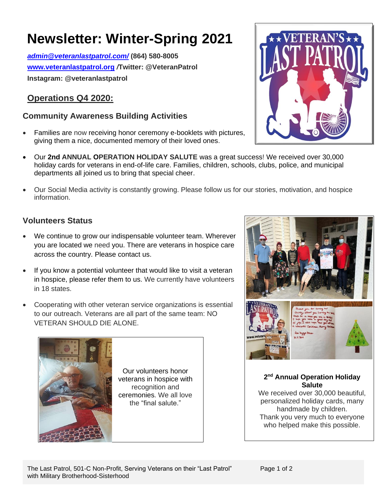# **Newsletter: Winter-Spring 2021**

*[admin@veteranlastpatrol.com/](mailto:admin@veteranlastpatrol.com/)* **(864) 580-8005 [www.veteranlastpatrol.org](http://www.veteranlastpatrol.org/)** */***Twitter: @VeteranPatrol Instagram: @veteranlastpatrol**

### **Operations Q4 2020:**

#### **Community Awareness Building Activities**

- Families are now receiving honor ceremony e-booklets with pictures, giving them a nice, documented memory of their loved ones.
- Our **2nd ANNUAL OPERATION HOLIDAY SALUTE** was a great success! We received over 30,000 holiday cards for veterans in end-of-life care. Families, children, schools, clubs, police, and municipal departments all joined us to bring that special cheer.
- Our Social Media activity is constantly growing. Please follow us for our stories, motivation, and hospice information.

#### **Volunteers Status**

- We continue to grow our indispensable volunteer team. Wherever you are located we need you. There are veterans in hospice care across the country. Please contact us.
- If you know a potential volunteer that would like to visit a veteran in hospice, please refer them to us. We currently have volunteers in 18 states.
- Cooperating with other veteran service organizations is essential to our outreach. Veterans are all part of the same team: NO VETERAN SHOULD DIE ALONE.







**2 nd Annual Operation Holiday Salute**

We received over 30,000 beautiful, personalized holiday cards, many handmade by children. Thank you very much to everyone who helped make this possible.